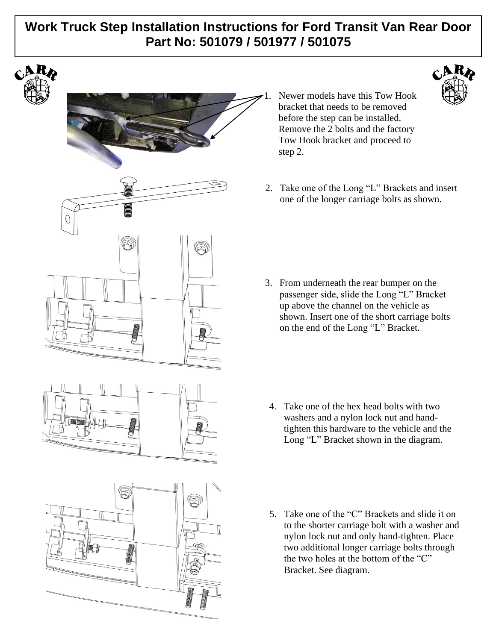## **Work Truck Step Installation Instructions for Ford Transit Van Rear Door Part No: 501079 / 501977 / 501075**





- Newer models have this Tow Hook bracket that needs to be removed before the step can be installed. Remove the 2 bolts and the factory Tow Hook bracket and proceed to step 2.
- 2. Take one of the Long "L" Brackets and insert one of the longer carriage bolts as shown.

 $C_{\mathbf{A}}^{\mathbf{R}}$ 

3. From underneath the rear bumper on the passenger side, slide the Long "L" Bracket up above the channel on the vehicle as shown. Insert one of the short carriage bolts on the end of the Long "L" Bracket.

- 4. Take one of the hex head bolts with two washers and a nylon lock nut and handtighten this hardware to the vehicle and the Long "L" Bracket shown in the diagram.
- 5. Take one of the "C" Brackets and slide it on to the shorter carriage bolt with a washer and nylon lock nut and only hand-tighten. Place two additional longer carriage bolts through the two holes at the bottom of the "C" Bracket. See diagram.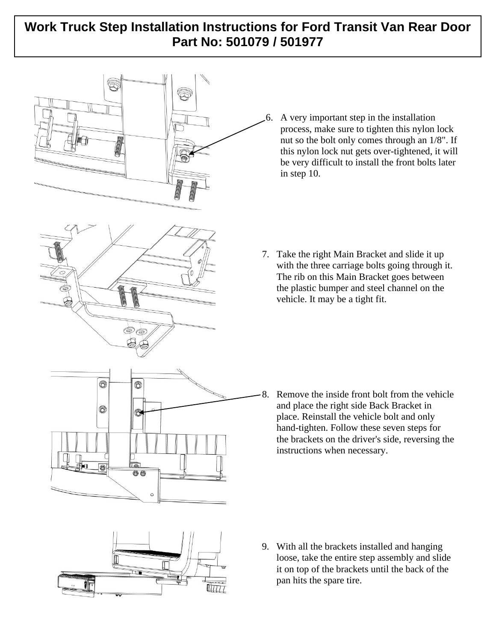# **Work Truck Step Installation Instructions for Ford Transit Van Rear Door Part No: 501079 / 501977**





 $\circledcirc$ 

Ia 66

 $\circledcirc$ 

 $\circledcirc$ 

6. A very important step in the installation process, make sure to tighten this nylon lock nut so the bolt only comes through an 1/8". If this nylon lock nut gets over-tightened, it will be very difficult to install the front bolts later in step 10.

7. Take the right Main Bracket and slide it up with the three carriage bolts going through it. The rib on this Main Bracket goes between the plastic bumper and steel channel on the vehicle. It may be a tight fit.

8. Remove the inside front bolt from the vehicle and place the right side Back Bracket in place. Reinstall the vehicle bolt and only hand-tighten. Follow these seven steps for the brackets on the driver's side, reversing the instructions when necessary.



 $\circ$ 

9. With all the brackets installed and hanging loose, take the entire step assembly and slide it on top of the brackets until the back of the pan hits the spare tire.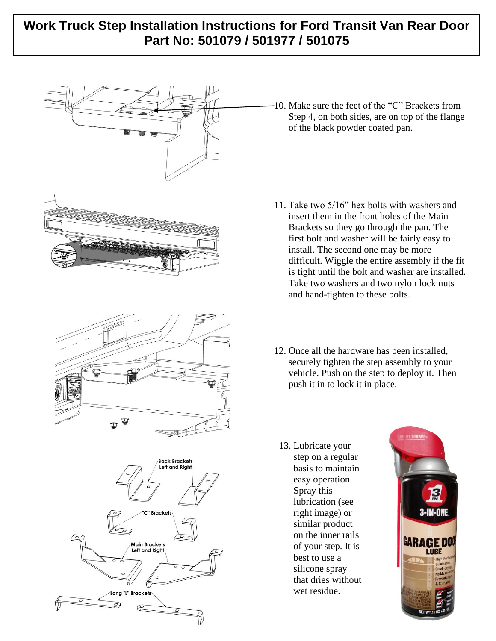# **Work Truck Step Installation Instructions for Ford Transit Van Rear Door Part No: 501079 / 501977 / 501075**



10. Make sure the feet of the "C" Brackets from Step 4, on both sides, are on top of the flange of the black powder coated pan.

- 11. Take two 5/16" hex bolts with washers and insert them in the front holes of the Main Brackets so they go through the pan. The first bolt and washer will be fairly easy to install. The second one may be more difficult. Wiggle the entire assembly if the fit is tight until the bolt and washer are installed. Take two washers and two nylon lock nuts and hand-tighten to these bolts.
- 12. Once all the hardware has been installed, securely tighten the step assembly to your vehicle. Push on the step to deploy it. Then push it in to lock it in place.
	- 13. Lubricate your step on a regular basis to maintain easy operation. Spray this lubrication (see right image) or similar product on the inner rails of your step. It is best to use a silicone spray that dries without wet residue.